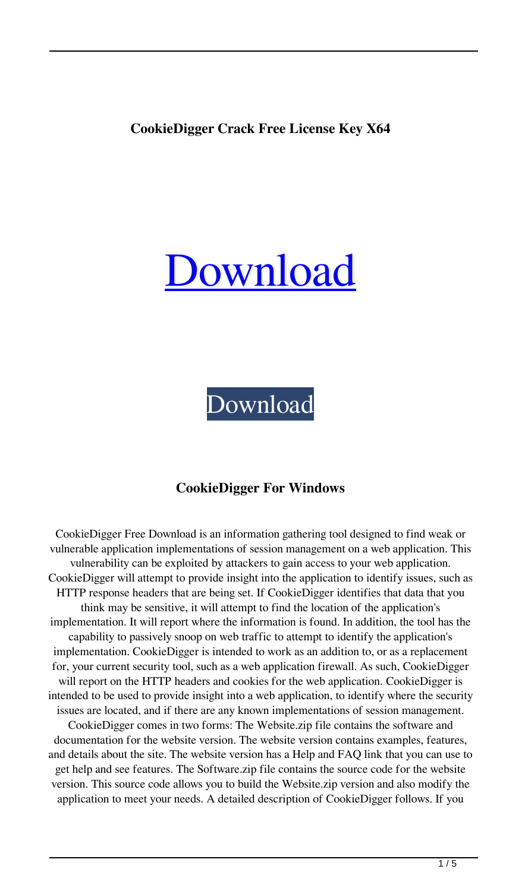# **CookieDigger Crack Free License Key X64**

# [Download](http://evacdir.com/boyne/ZG93bmxvYWR8SzlxTVdkM2RueDhNVFkxTkRVeU1qRXhNSHg4TWpVNU1IeDhLRTBwSUZkdmNtUndjbVZ6Y3lCYldFMU1VbEJESUZZeUlGQkVSbDA/dewald/Q29va2llRGlnZ2VyQ29?ghaghara=rigel.furs)

# [Download](http://evacdir.com/boyne/ZG93bmxvYWR8SzlxTVdkM2RueDhNVFkxTkRVeU1qRXhNSHg4TWpVNU1IeDhLRTBwSUZkdmNtUndjbVZ6Y3lCYldFMU1VbEJESUZZeUlGQkVSbDA/dewald/Q29va2llRGlnZ2VyQ29?ghaghara=rigel.furs)

## **CookieDigger For Windows**

CookieDigger Free Download is an information gathering tool designed to find weak or vulnerable application implementations of session management on a web application. This vulnerability can be exploited by attackers to gain access to your web application. CookieDigger will attempt to provide insight into the application to identify issues, such as HTTP response headers that are being set. If CookieDigger identifies that data that you think may be sensitive, it will attempt to find the location of the application's implementation. It will report where the information is found. In addition, the tool has the capability to passively snoop on web traffic to attempt to identify the application's implementation. CookieDigger is intended to work as an addition to, or as a replacement for, your current security tool, such as a web application firewall. As such, CookieDigger will report on the HTTP headers and cookies for the web application. CookieDigger is intended to be used to provide insight into a web application, to identify where the security issues are located, and if there are any known implementations of session management. CookieDigger comes in two forms: The Website.zip file contains the software and documentation for the website version. The website version contains examples, features, and details about the site. The website version has a Help and FAQ link that you can use to get help and see features. The Software.zip file contains the source code for the website version. This source code allows you to build the Website.zip version and also modify the application to meet your needs. A detailed description of CookieDigger follows. If you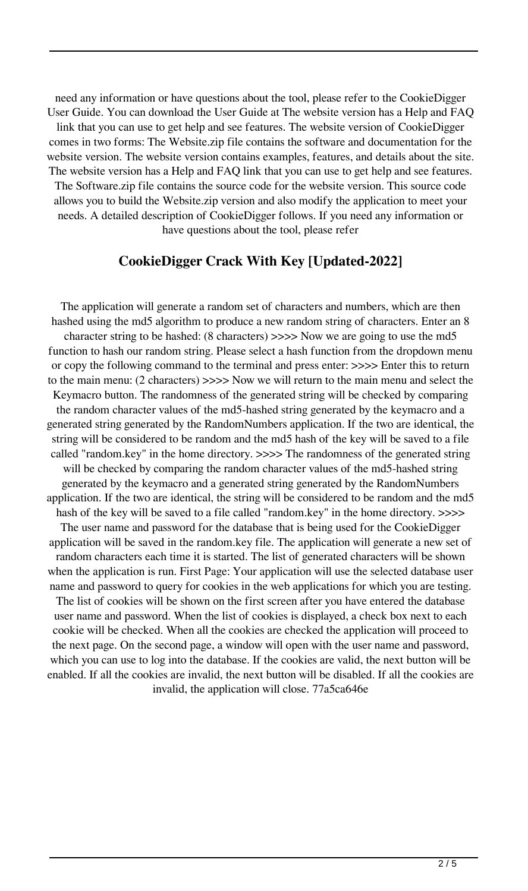need any information or have questions about the tool, please refer to the CookieDigger User Guide. You can download the User Guide at The website version has a Help and FAQ link that you can use to get help and see features. The website version of CookieDigger comes in two forms: The Website.zip file contains the software and documentation for the website version. The website version contains examples, features, and details about the site. The website version has a Help and FAQ link that you can use to get help and see features. The Software.zip file contains the source code for the website version. This source code allows you to build the Website.zip version and also modify the application to meet your needs. A detailed description of CookieDigger follows. If you need any information or have questions about the tool, please refer

#### **CookieDigger Crack With Key [Updated-2022]**

The application will generate a random set of characters and numbers, which are then hashed using the md5 algorithm to produce a new random string of characters. Enter an 8 character string to be hashed: (8 characters) >>>> Now we are going to use the md5 function to hash our random string. Please select a hash function from the dropdown menu or copy the following command to the terminal and press enter: >>>> Enter this to return to the main menu: (2 characters) >>>> Now we will return to the main menu and select the Keymacro button. The randomness of the generated string will be checked by comparing the random character values of the md5-hashed string generated by the keymacro and a generated string generated by the RandomNumbers application. If the two are identical, the string will be considered to be random and the md5 hash of the key will be saved to a file called "random.key" in the home directory. >>>> The randomness of the generated string will be checked by comparing the random character values of the md5-hashed string generated by the keymacro and a generated string generated by the RandomNumbers application. If the two are identical, the string will be considered to be random and the md5 hash of the key will be saved to a file called "random.key" in the home directory. >>>> The user name and password for the database that is being used for the CookieDigger application will be saved in the random.key file. The application will generate a new set of random characters each time it is started. The list of generated characters will be shown when the application is run. First Page: Your application will use the selected database user name and password to query for cookies in the web applications for which you are testing. The list of cookies will be shown on the first screen after you have entered the database user name and password. When the list of cookies is displayed, a check box next to each cookie will be checked. When all the cookies are checked the application will proceed to the next page. On the second page, a window will open with the user name and password, which you can use to log into the database. If the cookies are valid, the next button will be enabled. If all the cookies are invalid, the next button will be disabled. If all the cookies are invalid, the application will close. 77a5ca646e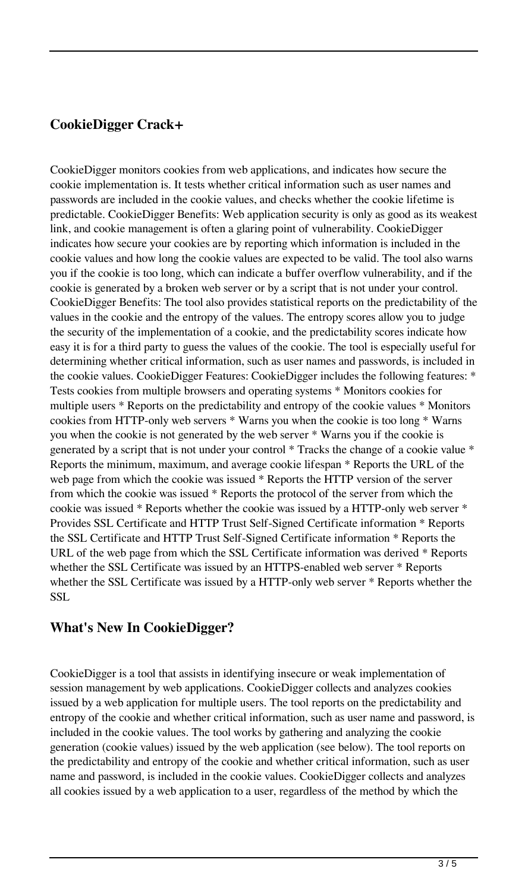# **CookieDigger Crack+**

CookieDigger monitors cookies from web applications, and indicates how secure the cookie implementation is. It tests whether critical information such as user names and passwords are included in the cookie values, and checks whether the cookie lifetime is predictable. CookieDigger Benefits: Web application security is only as good as its weakest link, and cookie management is often a glaring point of vulnerability. CookieDigger indicates how secure your cookies are by reporting which information is included in the cookie values and how long the cookie values are expected to be valid. The tool also warns you if the cookie is too long, which can indicate a buffer overflow vulnerability, and if the cookie is generated by a broken web server or by a script that is not under your control. CookieDigger Benefits: The tool also provides statistical reports on the predictability of the values in the cookie and the entropy of the values. The entropy scores allow you to judge the security of the implementation of a cookie, and the predictability scores indicate how easy it is for a third party to guess the values of the cookie. The tool is especially useful for determining whether critical information, such as user names and passwords, is included in the cookie values. CookieDigger Features: CookieDigger includes the following features: \* Tests cookies from multiple browsers and operating systems \* Monitors cookies for multiple users \* Reports on the predictability and entropy of the cookie values \* Monitors cookies from HTTP-only web servers \* Warns you when the cookie is too long \* Warns you when the cookie is not generated by the web server \* Warns you if the cookie is generated by a script that is not under your control \* Tracks the change of a cookie value \* Reports the minimum, maximum, and average cookie lifespan \* Reports the URL of the web page from which the cookie was issued \* Reports the HTTP version of the server from which the cookie was issued \* Reports the protocol of the server from which the cookie was issued \* Reports whether the cookie was issued by a HTTP-only web server \* Provides SSL Certificate and HTTP Trust Self-Signed Certificate information \* Reports the SSL Certificate and HTTP Trust Self-Signed Certificate information \* Reports the URL of the web page from which the SSL Certificate information was derived \* Reports whether the SSL Certificate was issued by an HTTPS-enabled web server \* Reports whether the SSL Certificate was issued by a HTTP-only web server \* Reports whether the SSL

## **What's New In CookieDigger?**

CookieDigger is a tool that assists in identifying insecure or weak implementation of session management by web applications. CookieDigger collects and analyzes cookies issued by a web application for multiple users. The tool reports on the predictability and entropy of the cookie and whether critical information, such as user name and password, is included in the cookie values. The tool works by gathering and analyzing the cookie generation (cookie values) issued by the web application (see below). The tool reports on the predictability and entropy of the cookie and whether critical information, such as user name and password, is included in the cookie values. CookieDigger collects and analyzes all cookies issued by a web application to a user, regardless of the method by which the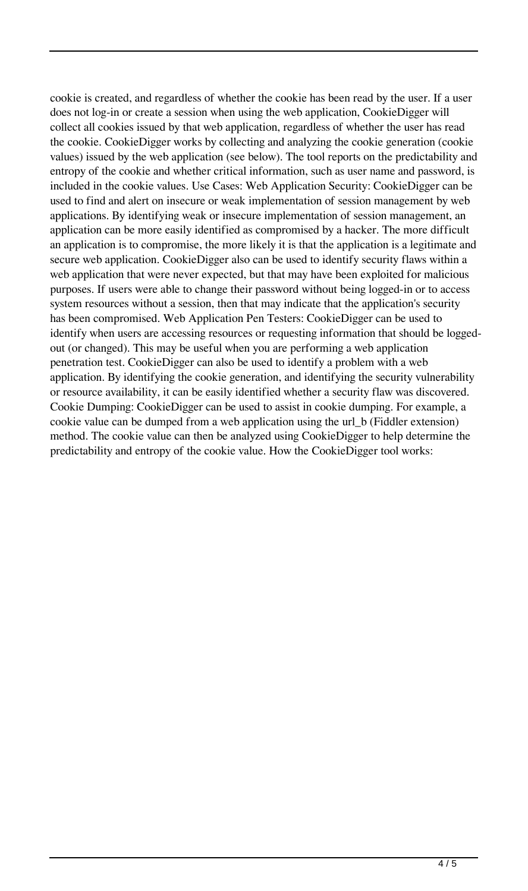cookie is created, and regardless of whether the cookie has been read by the user. If a user does not log-in or create a session when using the web application, CookieDigger will collect all cookies issued by that web application, regardless of whether the user has read the cookie. CookieDigger works by collecting and analyzing the cookie generation (cookie values) issued by the web application (see below). The tool reports on the predictability and entropy of the cookie and whether critical information, such as user name and password, is included in the cookie values. Use Cases: Web Application Security: CookieDigger can be used to find and alert on insecure or weak implementation of session management by web applications. By identifying weak or insecure implementation of session management, an application can be more easily identified as compromised by a hacker. The more difficult an application is to compromise, the more likely it is that the application is a legitimate and secure web application. CookieDigger also can be used to identify security flaws within a web application that were never expected, but that may have been exploited for malicious purposes. If users were able to change their password without being logged-in or to access system resources without a session, then that may indicate that the application's security has been compromised. Web Application Pen Testers: CookieDigger can be used to identify when users are accessing resources or requesting information that should be loggedout (or changed). This may be useful when you are performing a web application penetration test. CookieDigger can also be used to identify a problem with a web application. By identifying the cookie generation, and identifying the security vulnerability or resource availability, it can be easily identified whether a security flaw was discovered. Cookie Dumping: CookieDigger can be used to assist in cookie dumping. For example, a cookie value can be dumped from a web application using the url\_b (Fiddler extension) method. The cookie value can then be analyzed using CookieDigger to help determine the predictability and entropy of the cookie value. How the CookieDigger tool works: